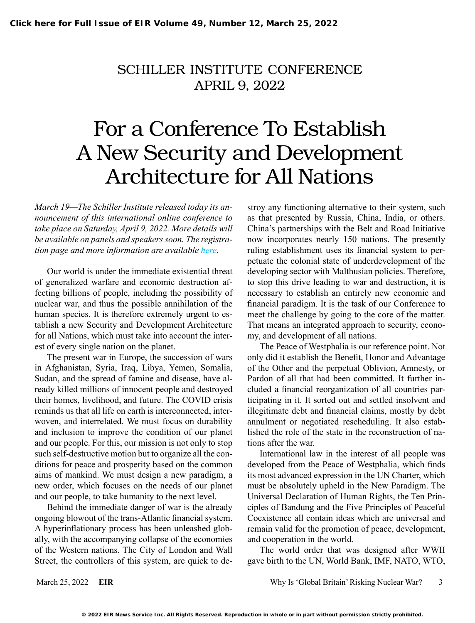## SCHILLER INSTITUTE CONFERENCE APRIL 9, 2022

## For a Conference To Establish A New Security and Development Architecture for All Nations

*March 19—The Schiller Institute released today its announcement of this international online conference to take place on Saturday, April 9, 2022. More details will be available on panels and speakers soon. The registration page and more information are available [here.](https://schillerinstitute.nationbuilder.com/for_a_conference_to_establish_a_new_security_and_development_architecture_for_all_nations)*

Our world is under the immediate existential threat of generalized warfare and economic destruction affecting billions of people, including the possibility of nuclear war, and thus the possible annihilation of the human species. It is therefore extremely urgent to establish a new Security and Development Architecture for all Nations, which must take into account the interest of every single nation on the planet.

The present war in Europe, the succession of wars in Afghanistan, Syria, Iraq, Libya, Yemen, Somalia, Sudan, and the spread of famine and disease, have already killed millions of innocent people and destroyed their homes, livelihood, and future. The COVID crisis reminds us that all life on earth is interconnected, interwoven, and interrelated. We must focus on durability and inclusion to improve the condition of our planet and our people. For this, our mission is not only to stop such self-destructive motion but to organize all the conditions for peace and prosperity based on the common aims of mankind. We must design a new paradigm, a new order, which focuses on the needs of our planet and our people, to take humanity to the next level.

Behind the immediate danger of war is the already ongoing blowout of the trans-Atlantic financial system. A hyperinflationary process has been unleashed globally, with the accompanying collapse of the economies of the Western nations. The City of London and Wall Street, the controllers of this system, are quick to destroy any functioning alternative to their system, such as that presented by Russia, China, India, or others. China's partnerships with the Belt and Road Initiative now incorporates nearly 150 nations. The presently ruling establishment uses its financial system to perpetuate the colonial state of underdevelopment of the developing sector with Malthusian policies. Therefore, to stop this drive leading to war and destruction, it is necessary to establish an entirely new economic and financial paradigm. It is the task of our Conference to meet the challenge by going to the core of the matter. That means an integrated approach to security, economy, and development of all nations.

The Peace of Westphalia is our reference point. Not only did it establish the Benefit, Honor and Advantage of the Other and the perpetual Oblivion, Amnesty, or Pardon of all that had been committed. It further included a financial reorganization of all countries participating in it. It sorted out and settled insolvent and illegitimate debt and financial claims, mostly by debt annulment or negotiated rescheduling. It also established the role of the state in the reconstruction of nations after the war.

International law in the interest of all people was developed from the Peace of Westphalia, which finds its most advanced expression in the UN Charter, which must be absolutely upheld in the New Paradigm. The Universal Declaration of Human Rights, the Ten Principles of Bandung and the Five Principles of Peaceful Coexistence all contain ideas which are universal and remain valid for the promotion of peace, development, and cooperation in the world.

The world order that was designed after WWII gave birth to the UN, World Bank, IMF, NATO, WTO,

March 25, 2022 **EIR** Why Is 'Global Britain' Risking Nuclear War? 3